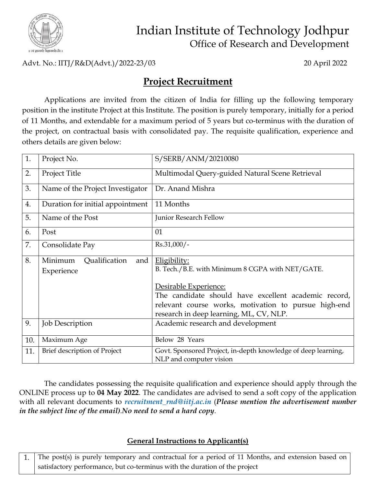

## Indian Institute of Technology Jodhpur Office of Research and Development

Advt. No.: IITJ/R&D(Advt.)/2022-23/03 20 April 2022

## **Project Recruitment**

Applications are invited from the citizen of India for filling up the following temporary position in the institute Project at this Institute. The position is purely temporary, initially for a period of 11 Months, and extendable for a maximum period of 5 years but co-terminus with the duration of the project, on contractual basis with consolidated pay. The requisite qualification, experience and others details are given below:

| 1.  | Project No.                                   | S/SERB/ANM/20210080                                                                             |
|-----|-----------------------------------------------|-------------------------------------------------------------------------------------------------|
| 2.  | Project Title                                 | Multimodal Query-guided Natural Scene Retrieval                                                 |
| 3.  | Name of the Project Investigator              | Dr. Anand Mishra                                                                                |
| 4.  | Duration for initial appointment              | 11 Months                                                                                       |
| 5.  | Name of the Post                              | Junior Research Fellow                                                                          |
| 6.  | Post                                          | 01                                                                                              |
| 7.  | Consolidate Pay                               | Rs.31,000/-                                                                                     |
| 8.  | Minimum<br>Qualification<br>and<br>Experience | Eligibility:<br>B. Tech./B.E. with Minimum 8 CGPA with NET/GATE.                                |
|     |                                               | Desirable Experience:                                                                           |
|     |                                               | The candidate should have excellent academic record,                                            |
|     |                                               | relevant course works, motivation to pursue high-end<br>research in deep learning, ML, CV, NLP. |
| 9.  | <b>Job Description</b>                        | Academic research and development                                                               |
| 10. | Maximum Age                                   | Below 28 Years                                                                                  |
| 11. | Brief description of Project                  | Govt. Sponsored Project, in-depth knowledge of deep learning,<br>NLP and computer vision        |

The candidates possessing the requisite qualification and experience should apply through the ONLINE process up to **04 May 2022**. The candidates are advised to send a soft copy of the application with all relevant documents to *[recruitment\\_rnd@iitj.ac.in](mailto:recruitment_rnd@iitj.ac.in)* (*Please mention the advertisement number in the subject line of the email).No need to send a hard copy.*

## **General Instructions to Applicant(s)**

1. The post(s) is purely temporary and contractual for a period of 11 Months, and extension based on satisfactory performance, but co-terminus with the duration of the project